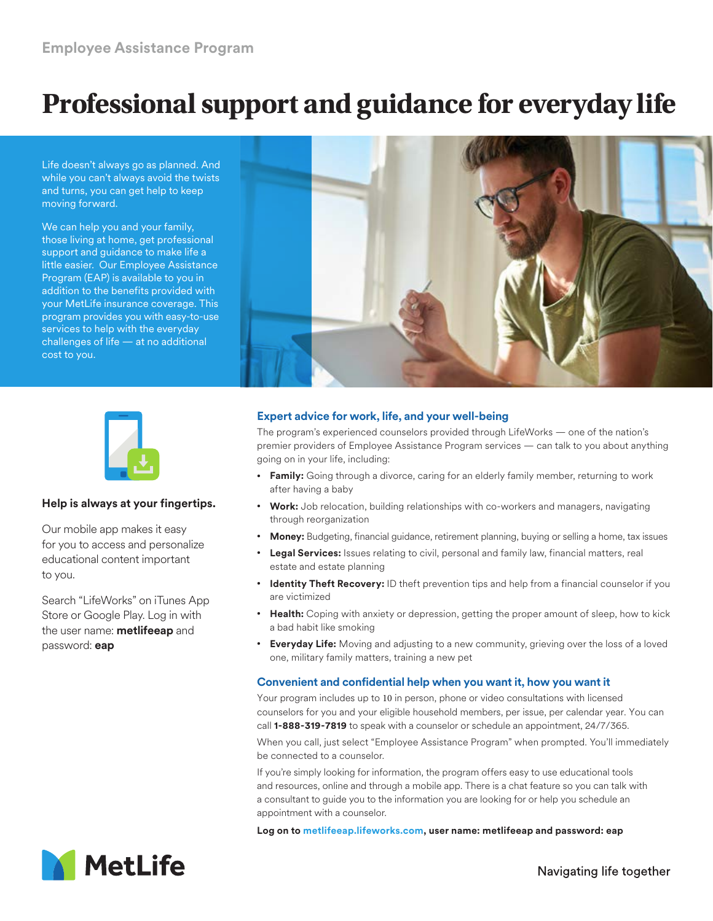# **Professional support and guidance for everyday life**

Life doesn't always go as planned. And while you can't always avoid the twists and turns, you can get help to keep moving forward.

We can help you and your family, those living at home, get professional support and guidance to make life a little easier. Our Employee Assistance Program (EAP) is available to you in addition to the benefits provided with your MetLife insurance coverage. This program provides you with easy-to-use services to help with the everyday challenges of life — at no additional cost to you.





## **Help is always at your fingertips.**

Our mobile app makes it easy for you to access and personalize educational content important to you.

Search "LifeWorks" on iTunes App Store or Google Play. Log in with the user name: **metlifeeap** and password: **eap**

# **Expert advice for work, life, and your well-being**

The program's experienced counselors provided through LifeWorks — one of the nation's premier providers of Employee Assistance Program services — can talk to you about anything going on in your life, including:

- **Family:** Going through a divorce, caring for an elderly family member, returning to work after having a baby
- **Work:** Job relocation, building relationships with co-workers and managers, navigating through reorganization
- **Money:** Budgeting, financial guidance, retirement planning, buying or selling a home, tax issues
- **Legal Services:** Issues relating to civil, personal and family law, financial matters, real estate and estate planning
- **Identity Theft Recovery:** ID theft prevention tips and help from a financial counselor if you are victimized
- **Health:** Coping with anxiety or depression, getting the proper amount of sleep, how to kick a bad habit like smoking
- **Everyday Life:** Moving and adjusting to a new community, grieving over the loss of a loved one, military family matters, training a new pet

## **Convenient and confidential help when you want it, how you want it**

Your program includes up to 10 in person, phone or video consultations with licensed counselors for you and your eligible household members, per issue, per calendar year. You can call **1-888-319-7819** to speak with a counselor or schedule an appointment, 24/7/365.

When you call, just select "Employee Assistance Program" when prompted. You'll immediately be connected to a counselor.

If you're simply looking for information, the program offers easy to use educational tools and resources, online and through a mobile app. There is a chat feature so you can talk with a consultant to guide you to the information you are looking for or help you schedule an appointment with a counselor.

**Log on to metlifeeap.lifeworks.com, user name: metlifeeap and password: eap**